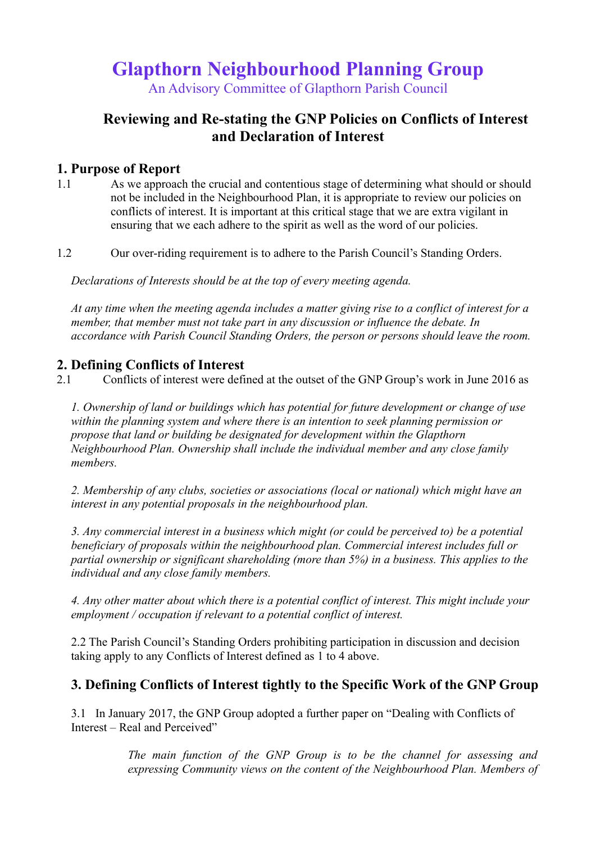# **Glapthorn Neighbourhood Planning Group**

An Advisory Committee of Glapthorn Parish Council

## **Reviewing and Re-stating the GNP Policies on Conflicts of Interest and Declaration of Interest**

#### **1. Purpose of Report**

1.1 As we approach the crucial and contentious stage of determining what should or should not be included in the Neighbourhood Plan, it is appropriate to review our policies on conflicts of interest. It is important at this critical stage that we are extra vigilant in ensuring that we each adhere to the spirit as well as the word of our policies.

1.2 Our over-riding requirement is to adhere to the Parish Council's Standing Orders.

*Declarations of Interests should be at the top of every meeting agenda.*

*At any time when the meeting agenda includes a matter giving rise to a conflict of interest for a member, that member must not take part in any discussion or influence the debate. In accordance with Parish Council Standing Orders, the person or persons should leave the room.* 

### **2. Defining Conflicts of Interest**

2.1 Conflicts of interest were defined at the outset of the GNP Group's work in June 2016 as

*1. Ownership of land or buildings which has potential for future development or change of use within the planning system and where there is an intention to seek planning permission or propose that land or building be designated for development within the Glapthorn Neighbourhood Plan. Ownership shall include the individual member and any close family members.*

*2. Membership of any clubs, societies or associations (local or national) which might have an interest in any potential proposals in the neighbourhood plan.*

*3. Any commercial interest in a business which might (or could be perceived to) be a potential beneficiary of proposals within the neighbourhood plan. Commercial interest includes full or partial ownership or significant shareholding (more than 5%) in a business. This applies to the individual and any close family members.*

*4. Any other matter about which there is a potential conflict of interest. This might include your employment / occupation if relevant to a potential conflict of interest.*

2.2 The Parish Council's Standing Orders prohibiting participation in discussion and decision taking apply to any Conflicts of Interest defined as 1 to 4 above.

#### **3. Defining Conflicts of Interest tightly to the Specific Work of the GNP Group**

3.1 In January 2017, the GNP Group adopted a further paper on "Dealing with Conflicts of Interest – Real and Perceived"

> *The main function of the GNP Group is to be the channel for assessing and expressing Community views on the content of the Neighbourhood Plan. Members of*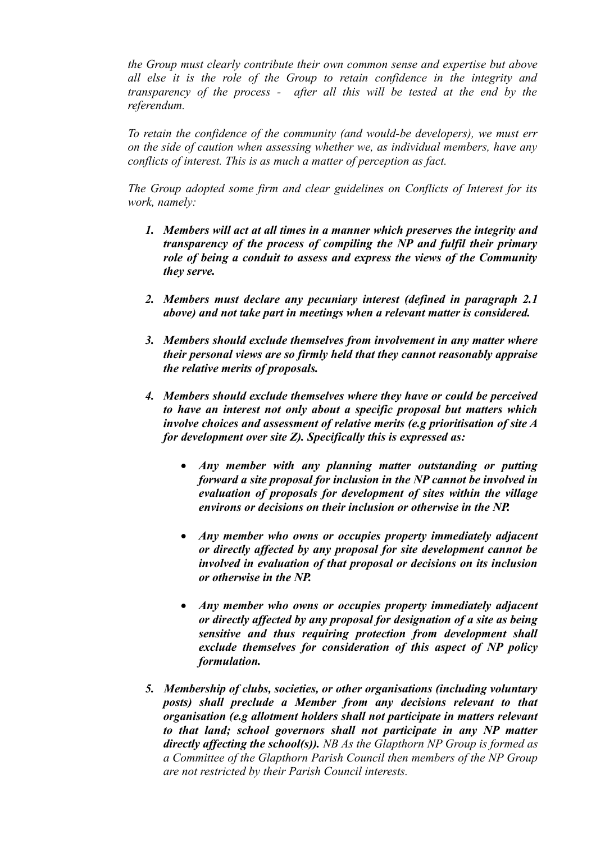*the Group must clearly contribute their own common sense and expertise but above all else it is the role of the Group to retain confidence in the integrity and transparency of the process - after all this will be tested at the end by the referendum.*

*To retain the confidence of the community (and would-be developers), we must err on the side of caution when assessing whether we, as individual members, have any conflicts of interest. This is as much a matter of perception as fact.*

*The Group adopted some firm and clear guidelines on Conflicts of Interest for its work, namely:*

- *1. Members will act at all times in a manner which preserves the integrity and transparency of the process of compiling the NP and fulfil their primary role of being a conduit to assess and express the views of the Community they serve.*
- *2. Members must declare any pecuniary interest (defined in paragraph 2.1 above) and not take part in meetings when a relevant matter is considered.*
- *3. Members should exclude themselves from involvement in any matter where their personal views are so firmly held that they cannot reasonably appraise the relative merits of proposals.*
- *4. Members should exclude themselves where they have or could be perceived to have an interest not only about a specific proposal but matters which involve choices and assessment of relative merits (e.g prioritisation of site A for development over site Z). Specifically this is expressed as:*
	- *Any member with any planning matter outstanding or putting forward a site proposal for inclusion in the NP cannot be involved in evaluation of proposals for development of sites within the village environs or decisions on their inclusion or otherwise in the NP.*
	- *Any member who owns or occupies property immediately adjacent or directly affected by any proposal for site development cannot be involved in evaluation of that proposal or decisions on its inclusion or otherwise in the NP.*
	- *Any member who owns or occupies property immediately adjacent or directly affected by any proposal for designation of a site as being sensitive and thus requiring protection from development shall exclude themselves for consideration of this aspect of NP policy formulation.*
- *5. Membership of clubs, societies, or other organisations (including voluntary posts) shall preclude a Member from any decisions relevant to that organisation (e.g allotment holders shall not participate in matters relevant to that land; school governors shall not participate in any NP matter directly affecting the school(s)). NB As the Glapthorn NP Group is formed as a Committee of the Glapthorn Parish Council then members of the NP Group are not restricted by their Parish Council interests.*